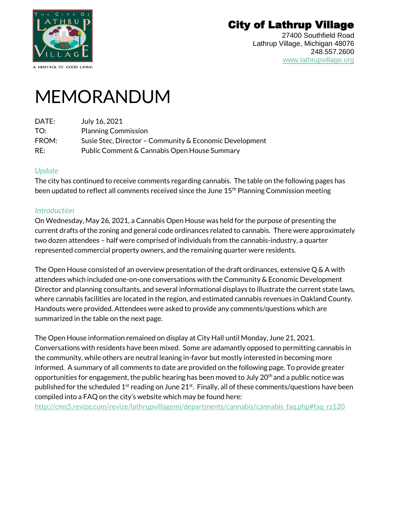

A HERITAGE OF GOOD LIVING

# City of Lathrup Village

27400 Southfield Road Lathrup Village, Michigan 48076 248.557.2600 [www.lathrupvillage.org](https://lathrupvillage-my.sharepoint.com/personal/sstec_lathrupvillage_org/Documents/Letter%20&%20Memo%20Templates/www.lathrupvillage.org)

# MEMORANDUM

| July 16, 2021                                           |
|---------------------------------------------------------|
| <b>Planning Commission</b>                              |
| Susie Stec, Director - Community & Economic Development |
| Public Comment & Cannabis Open House Summary            |
|                                                         |

#### *Update*

The city has continued to receive comments regarding cannabis. The table on the following pages has been updated to reflect all comments received since the June 15<sup>th</sup> Planning Commission meeting

# *Introduction*

On Wednesday, May 26, 2021, a Cannabis Open House was held for the purpose of presenting the current drafts of the zoning and general code ordinances related to cannabis. There were approximately two dozen attendees – half were comprised of individuals from the cannabis-industry, a quarter represented commercial property owners, and the remaining quarter were residents.

The Open House consisted of an overview presentation of the draft ordinances, extensive Q & A with attendees which included one-on-one conversations with the Community & Economic Development Director and planning consultants, and several informational displays to illustrate the current state laws, where cannabis facilities are located in the region, and estimated cannabis revenues in Oakland County. Handouts were provided. Attendees were asked to provide any comments/questions which are summarized in the table on the next page.

The Open House information remained on display at City Hall until Monday, June 21, 2021. Conversations with residents have been mixed. Some are adamantly opposed to permitting cannabis in the community, while others are neutral leaning in-favor but mostly interested in becoming more informed. A summary of all comments to date are provided on the following page. To provide greater opportunities for engagement, the public hearing has been moved to July  $20<sup>th</sup>$  and a public notice was published for the scheduled 1<sup>st</sup> reading on June 21<sup>st</sup>. Finally, all of these comments/questions have been compiled into a FAQ on the city's website which may be found here:

[http://cms5.revize.com/revize/lathrupvillagemi/departments/cannabis/cannabis\\_faq.php#faq\\_rz120](http://cms5.revize.com/revize/lathrupvillagemi/departments/cannabis/cannabis_faq.php#faq_rz120)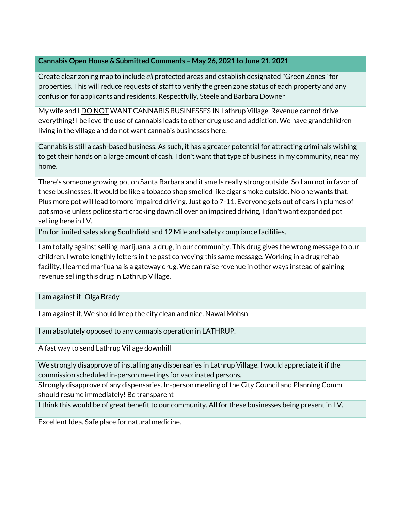#### **Cannabis Open House & Submitted Comments – May 26, 2021 to June 21, 2021**

Create clear zoning map to include *all* protected areas and establish designated "Green Zones" for properties. This will reduce requests of staff to verify the green zone status of each property and any confusion for applicants and residents. Respectfully, Steele and Barbara Downer

My wife and I DO NOT WANT CANNABIS BUSINESSES IN Lathrup Village. Revenue cannot drive everything! I believe the use of cannabis leads to other drug use and addiction. We have grandchildren living in the village and do not want cannabis businesses here.

Cannabis is still a cash-based business. As such, it has a greater potential for attracting criminals wishing to get their hands on a large amount of cash. I don't want that type of business in my community, near my home.

There's someone growing pot on Santa Barbara and it smells really strong outside. So I am not in favor of these businesses. It would be like a tobacco shop smelled like cigar smoke outside. No one wants that. Plus more pot will lead to more impaired driving. Just go to 7-11. Everyone gets out of cars in plumes of pot smoke unless police start cracking down all over on impaired driving, I don't want expanded pot selling here in LV.

I'm for limited sales along Southfield and 12 Mile and safety compliance facilities.

I am totally against selling marijuana, a drug, in our community. This drug gives the wrong message to our children. I wrote lengthly letters in the past conveying this same message. Working in a drug rehab facility, I learned marijuana is a gateway drug. We can raise revenue in other ways instead of gaining revenue selling this drug in Lathrup Village.

I am against it! Olga Brady

I am against it. We should keep the city clean and nice. Nawal Mohsn

I am absolutely opposed to any cannabis operation in LATHRUP.

A fast way to send Lathrup Village downhill

We strongly disapprove of installing any dispensaries in Lathrup Village. I would appreciate it if the commission scheduled in-person meetings for vaccinated persons.

Strongly disapprove of any dispensaries. In-person meeting of the City Council and Planning Comm should resume immediately! Be transparent

I think this would be of great benefit to our community. All for these businesses being present in LV.

Excellent Idea. Safe place for natural medicine.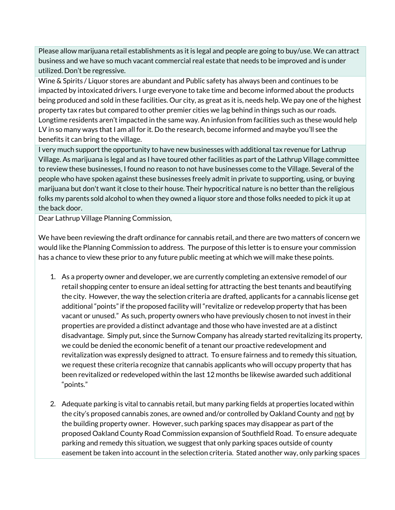Please allow marijuana retail establishments as it is legal and people are going to buy/use. We can attract business and we have so much vacant commercial real estate that needs to be improved and is under utilized. Don't be regressive.

Wine & Spirits / Liquor stores are abundant and Public safety has always been and continues to be impacted by intoxicated drivers. I urge everyone to take time and become informed about the products being produced and sold in these facilities. Our city, as great as it is, needs help. We pay one of the highest property tax rates but compared to other premier cities we lag behind in things such as our roads. Longtime residents aren't impacted in the same way. An infusion from facilities such as these would help LV in so many ways that I am all for it. Do the research, become informed and maybe you'll see the benefits it can bring to the village.

I very much support the opportunity to have new businesses with additional tax revenue for Lathrup Village. As marijuana is legal and as I have toured other facilities as part of the Lathrup Village committee to review these businesses, I found no reason to not have businesses come to the Village. Several of the people who have spoken against these businesses freely admit in private to supporting, using, or buying marijuana but don't want it close to their house. Their hypocritical nature is no better than the religious folks my parents sold alcohol to when they owned a liquor store and those folks needed to pick it up at the back door.

Dear Lathrup Village Planning Commission,

We have been reviewing the draft ordinance for cannabis retail, and there are two matters of concern we would like the Planning Commission to address. The purpose of this letter is to ensure your commission has a chance to view these prior to any future public meeting at which we will make these points.

- 1. As a property owner and developer, we are currently completing an extensive remodel of our retail shopping center to ensure an ideal setting for attracting the best tenants and beautifying the city. However, the way the selection criteria are drafted, applicants for a cannabis license get additional "points" if the proposed facility will "revitalize or redevelop property that has been vacant or unused." As such, property owners who have previously chosen to not invest in their properties are provided a distinct advantage and those who have invested are at a distinct disadvantage. Simply put, since the Surnow Company has already started revitalizing its property, we could be denied the economic benefit of a tenant our proactive redevelopment and revitalization was expressly designed to attract. To ensure fairness and to remedy this situation, we request these criteria recognize that cannabis applicants who will occupy property that has been revitalized or redeveloped within the last 12 months be likewise awarded such additional "points."
- 2. Adequate parking is vital to cannabis retail, but many parking fields at properties located within the city's proposed cannabis zones, are owned and/or controlled by Oakland County and not by the building property owner. However, such parking spaces may disappear as part of the proposed Oakland County Road Commission expansion of Southfield Road. To ensure adequate parking and remedy this situation, we suggest that only parking spaces outside of county easement be taken into account in the selection criteria. Stated another way, only parking spaces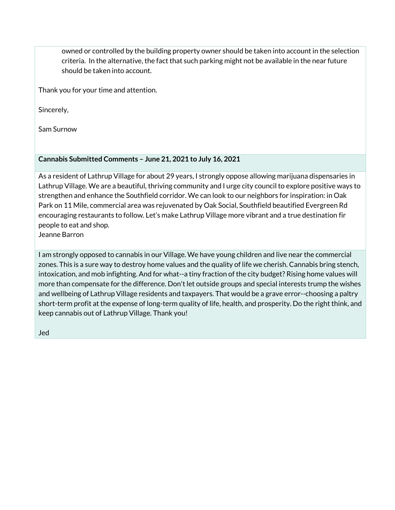owned or controlled by the building property owner should be taken into account in the selection criteria. In the alternative, the fact that such parking might not be available in the near future should be taken into account.

Thank you for your time and attention.

Sincerely,

Sam Surnow

# **Cannabis Submitted Comments – June 21, 2021 to July 16, 2021**

As a resident of Lathrup Village for about 29 years, I strongly oppose allowing marijuana dispensaries in Lathrup Village. We are a beautiful, thriving community and I urge city council to explore positive ways to strengthen and enhance the Southfield corridor. We can look to our neighbors for inspiration: in Oak Park on 11 Mile, commercial area was rejuvenated by Oak Social, Southfield beautified Evergreen Rd encouraging restaurants to follow. Let's make Lathrup Village more vibrant and a true destination fir people to eat and shop.

Jeanne Barron

I am strongly opposed to cannabis in our Village. We have young children and live near the commercial zones. This is a sure way to destroy home values and the quality of life we cherish. Cannabis bring stench, intoxication, and mob infighting. And for what--a tiny fraction of the city budget? Rising home values will more than compensate for the difference. Don't let outside groups and special interests trump the wishes and wellbeing of Lathrup Village residents and taxpayers. That would be a grave error--choosing a paltry short-term profit at the expense of long-term quality of life, health, and prosperity. Do the right think, and keep cannabis out of Lathrup Village. Thank you!

Jed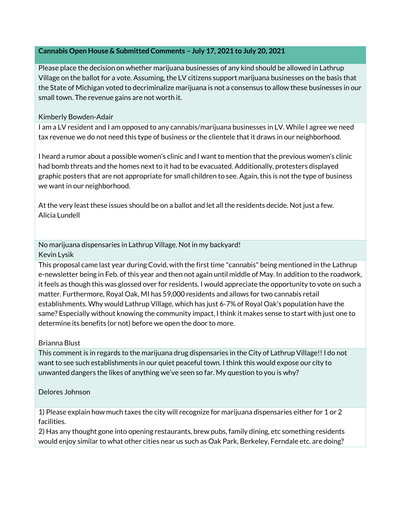#### **Cannabis Open House & Submitted Comments – July 17, 2021 to July 20, 2021**

Please place the decision on whether marijuana businesses of any kind should be allowed in Lathrup Village on the ballot for a vote. Assuming, the LV citizens support marijuana businesses on the basis that the State of Michigan voted to decriminalize marijuana is not a consensus to allow these businesses in our small town. The revenue gains are not worth it.

#### Kimberly Bowden-Adair

I am a LV resident and I am opposed to any cannabis/marijuana businesses in LV. While I agree we need tax revenue we do not need this type of business or the clientele that it draws in our neighborhood.

I heard a rumor about a possible women's clinic and I want to mention that the previous women's clinic had bomb threats and the homes next to it had to be evacuated. Additionally, protesters displayed graphic posters that are not appropriate for small children to see. Again, this is not the type of business we want in our neighborhood.

At the very least these issues should be on a ballot and let all the residents decide. Not just a few. Alicia Lundell

No marijuana dispensaries in Lathrup Village. Not in my backyard! Kevin Lysik

This proposal came last year during Covid, with the first time "cannabis" being mentioned in the Lathrup e-newsletter being in Feb. of this year and then not again until middle of May. In addition to the roadwork, it feels as though this was glossed over for residents. I would appreciate the opportunity to vote on such a matter. Furthermore, Royal Oak, MI has 59,000 residents and allows for two cannabis retail establishments. Why would Lathrup Village, which has just 6-7% of Royal Oak's population have the same? Especially without knowing the community impact, I think it makes sense to start with just one to determine its benefits (or not) before we open the door to more.

#### Brianna Blust

This comment is in regards to the marijuana drug dispensaries in the City of Lathrup Village!! I do not want to see such establishments in our quiet peaceful town. I think this would expose our city to unwanted dangers the likes of anything we've seen so far. My question to you is why?

#### Delores Johnson

1) Please explain how much taxes the city will recognize for marijuana dispensaries either for 1 or 2 facilities.

2) Has any thought gone into opening restaurants, brew pubs, family dining, etc something residents would enjoy similar to what other cities near us such as Oak Park, Berkeley, Ferndale etc. are doing?